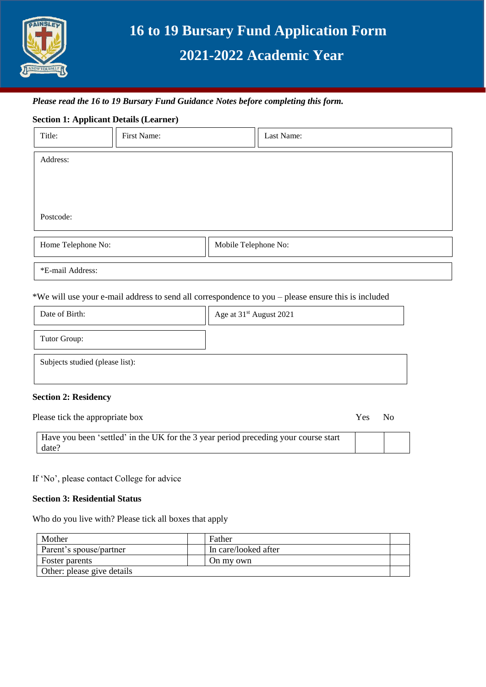

# **16 to 19 Bursary Fund Application Form 2021-2022 Academic Year**

## *Please read the 16 to 19 Bursary Fund Guidance Notes before completing this form.*

## **Section 1: Applicant Details (Learner)**

| Title:             | First Name: |                      | Last Name: |
|--------------------|-------------|----------------------|------------|
| Address:           |             |                      |            |
|                    |             |                      |            |
|                    |             |                      |            |
| Postcode:          |             |                      |            |
| Home Telephone No: |             | Mobile Telephone No: |            |
| *E-mail Address:   |             |                      |            |

\*We will use your e-mail address to send all correspondence to you – please ensure this is included

| Date of Birth:                  | Age at 31 <sup>st</sup> August 2021 |
|---------------------------------|-------------------------------------|
| Tutor Group:                    |                                     |
| Subjects studied (please list): |                                     |

#### **Section 2: Residency**

| Please tick the appropriate box                                                              | Yes | No |  |
|----------------------------------------------------------------------------------------------|-----|----|--|
| Have you been 'settled' in the UK for the 3 year period preceding your course start<br>date? |     |    |  |

If 'No', please contact College for advice

#### **Section 3: Residential Status**

Who do you live with? Please tick all boxes that apply

| Mother                     |  | Father               |  |
|----------------------------|--|----------------------|--|
| Parent's spouse/partner    |  | In care/looked after |  |
| Foster parents             |  | On my own            |  |
| Other: please give details |  |                      |  |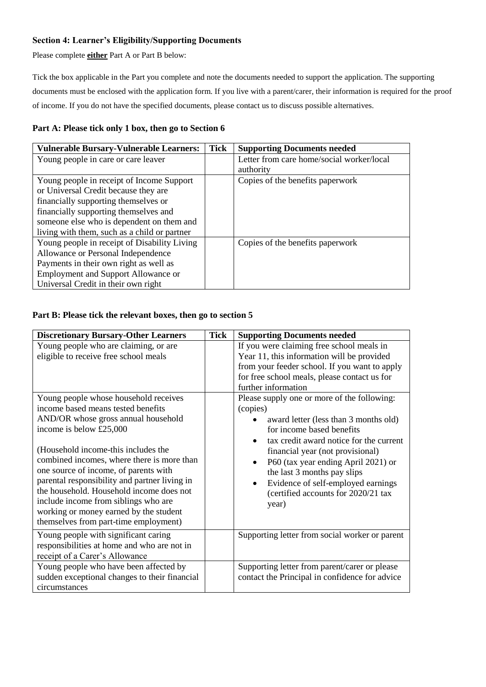## **Section 4: Learner's Eligibility/Supporting Documents**

Please complete **either** Part A or Part B below:

Tick the box applicable in the Part you complete and note the documents needed to support the application. The supporting documents must be enclosed with the application form. If you live with a parent/carer, their information is required for the proof of income. If you do not have the specified documents, please contact us to discuss possible alternatives.

## **Part A: Please tick only 1 box, then go to Section 6**

| <b>Vulnerable Bursary-Vulnerable Learners:</b> | <b>Tick</b> | <b>Supporting Documents needed</b>        |
|------------------------------------------------|-------------|-------------------------------------------|
| Young people in care or care leaver            |             | Letter from care home/social worker/local |
|                                                |             | authority                                 |
| Young people in receipt of Income Support      |             | Copies of the benefits paperwork          |
| or Universal Credit because they are           |             |                                           |
| financially supporting themselves or           |             |                                           |
| financially supporting themselves and          |             |                                           |
| someone else who is dependent on them and      |             |                                           |
| living with them, such as a child or partner   |             |                                           |
| Young people in receipt of Disability Living   |             | Copies of the benefits paperwork          |
| Allowance or Personal Independence             |             |                                           |
| Payments in their own right as well as         |             |                                           |
| Employment and Support Allowance or            |             |                                           |
| Universal Credit in their own right            |             |                                           |

## **Part B: Please tick the relevant boxes, then go to section 5**

| <b>Discretionary Bursary-Other Learners</b>                                                                                                                                                                                                                                                                                                                                                                                                                                                         | <b>Tick</b> | <b>Supporting Documents needed</b>                                                                                                                                                                                                                                                                                                                                                                 |
|-----------------------------------------------------------------------------------------------------------------------------------------------------------------------------------------------------------------------------------------------------------------------------------------------------------------------------------------------------------------------------------------------------------------------------------------------------------------------------------------------------|-------------|----------------------------------------------------------------------------------------------------------------------------------------------------------------------------------------------------------------------------------------------------------------------------------------------------------------------------------------------------------------------------------------------------|
| Young people who are claiming, or are<br>eligible to receive free school meals                                                                                                                                                                                                                                                                                                                                                                                                                      |             | If you were claiming free school meals in<br>Year 11, this information will be provided<br>from your feeder school. If you want to apply<br>for free school meals, please contact us for<br>further information                                                                                                                                                                                    |
| Young people whose household receives<br>income based means tested benefits<br>AND/OR whose gross annual household<br>income is below £25,000<br>(Household income-this includes the<br>combined incomes, where there is more than<br>one source of income, of parents with<br>parental responsibility and partner living in<br>the household. Household income does not<br>include income from siblings who are<br>working or money earned by the student<br>themselves from part-time employment) |             | Please supply one or more of the following:<br>(copies)<br>award letter (less than 3 months old)<br>for income based benefits<br>tax credit award notice for the current<br>$\bullet$<br>financial year (not provisional)<br>P60 (tax year ending April 2021) or<br>$\bullet$<br>the last 3 months pay slips<br>Evidence of self-employed earnings<br>(certified accounts for 2020/21 tax<br>year) |
| Young people with significant caring<br>responsibilities at home and who are not in<br>receipt of a Carer's Allowance                                                                                                                                                                                                                                                                                                                                                                               |             | Supporting letter from social worker or parent                                                                                                                                                                                                                                                                                                                                                     |
| Young people who have been affected by<br>sudden exceptional changes to their financial<br>circumstances                                                                                                                                                                                                                                                                                                                                                                                            |             | Supporting letter from parent/carer or please<br>contact the Principal in confidence for advice                                                                                                                                                                                                                                                                                                    |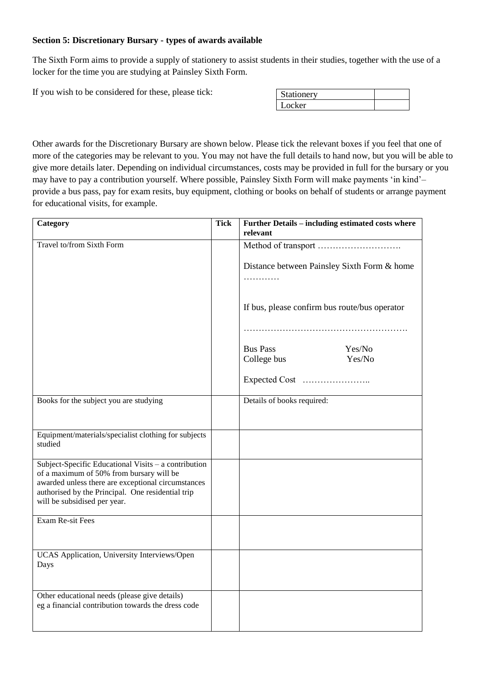## **Section 5: Discretionary Bursary - types of awards available**

The Sixth Form aims to provide a supply of stationery to assist students in their studies, together with the use of a locker for the time you are studying at Painsley Sixth Form.

If you wish to be considered for these, please tick:

| Stationery |  |
|------------|--|
| Locker     |  |

Other awards for the Discretionary Bursary are shown below. Please tick the relevant boxes if you feel that one of more of the categories may be relevant to you. You may not have the full details to hand now, but you will be able to give more details later. Depending on individual circumstances, costs may be provided in full for the bursary or you may have to pay a contribution yourself. Where possible, Painsley Sixth Form will make payments 'in kind'– provide a bus pass, pay for exam resits, buy equipment, clothing or books on behalf of students or arrange payment for educational visits, for example.

| Category                                                                                                                                               | <b>Tick</b> | Further Details - including estimated costs where<br>relevant |
|--------------------------------------------------------------------------------------------------------------------------------------------------------|-------------|---------------------------------------------------------------|
| Travel to/from Sixth Form                                                                                                                              |             |                                                               |
|                                                                                                                                                        |             | Distance between Painsley Sixth Form & home                   |
|                                                                                                                                                        |             |                                                               |
|                                                                                                                                                        |             | If bus, please confirm bus route/bus operator                 |
|                                                                                                                                                        |             |                                                               |
|                                                                                                                                                        |             | <b>Bus Pass</b><br>Yes/No                                     |
|                                                                                                                                                        |             | College bus<br>Yes/No                                         |
|                                                                                                                                                        |             |                                                               |
| Books for the subject you are studying                                                                                                                 |             | Details of books required:                                    |
| Equipment/materials/specialist clothing for subjects<br>studied                                                                                        |             |                                                               |
| Subject-Specific Educational Visits - a contribution<br>of a maximum of 50% from bursary will be<br>awarded unless there are exceptional circumstances |             |                                                               |
| authorised by the Principal. One residential trip<br>will be subsidised per year.                                                                      |             |                                                               |
| Exam Re-sit Fees                                                                                                                                       |             |                                                               |
| UCAS Application, University Interviews/Open<br>Days                                                                                                   |             |                                                               |
| Other educational needs (please give details)<br>eg a financial contribution towards the dress code                                                    |             |                                                               |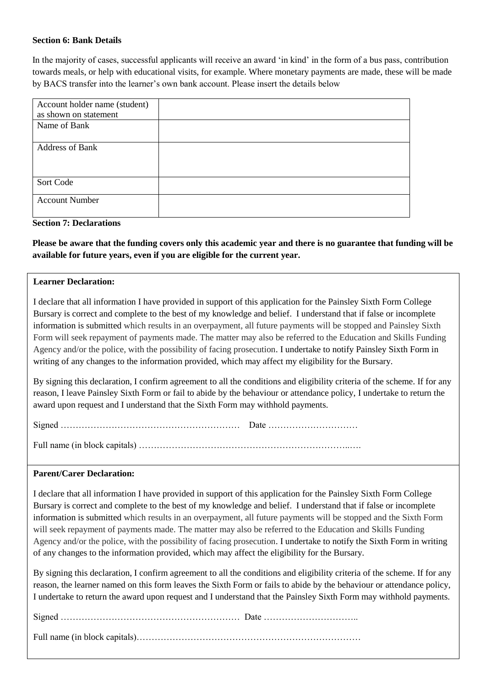## **Section 6: Bank Details**

In the majority of cases, successful applicants will receive an award 'in kind' in the form of a bus pass, contribution towards meals, or help with educational visits, for example. Where monetary payments are made, these will be made by BACS transfer into the learner's own bank account. Please insert the details below

| Account holder name (student) |  |
|-------------------------------|--|
| as shown on statement         |  |
| Name of Bank                  |  |
|                               |  |
| <b>Address of Bank</b>        |  |
|                               |  |
|                               |  |
| Sort Code                     |  |
|                               |  |
| <b>Account Number</b>         |  |
|                               |  |
|                               |  |

## **Section 7: Declarations**

**Please be aware that the funding covers only this academic year and there is no guarantee that funding will be available for future years, even if you are eligible for the current year.**

#### **Learner Declaration:**

I declare that all information I have provided in support of this application for the Painsley Sixth Form College Bursary is correct and complete to the best of my knowledge and belief. I understand that if false or incomplete information is submitted which results in an overpayment, all future payments will be stopped and Painsley Sixth Form will seek repayment of payments made. The matter may also be referred to the Education and Skills Funding Agency and/or the police, with the possibility of facing prosecution. I undertake to notify Painsley Sixth Form in writing of any changes to the information provided, which may affect my eligibility for the Bursary.

By signing this declaration, I confirm agreement to all the conditions and eligibility criteria of the scheme. If for any reason, I leave Painsley Sixth Form or fail to abide by the behaviour or attendance policy, I undertake to return the award upon request and I understand that the Sixth Form may withhold payments.

Full name (in block capitals) ……………………………………………………………..….

#### **Parent/Carer Declaration:**

I declare that all information I have provided in support of this application for the Painsley Sixth Form College Bursary is correct and complete to the best of my knowledge and belief. I understand that if false or incomplete information is submitted which results in an overpayment, all future payments will be stopped and the Sixth Form will seek repayment of payments made. The matter may also be referred to the Education and Skills Funding Agency and/or the police, with the possibility of facing prosecution. I undertake to notify the Sixth Form in writing of any changes to the information provided, which may affect the eligibility for the Bursary.

By signing this declaration, I confirm agreement to all the conditions and eligibility criteria of the scheme. If for any reason, the learner named on this form leaves the Sixth Form or fails to abide by the behaviour or attendance policy, I undertake to return the award upon request and I understand that the Painsley Sixth Form may withhold payments.

Full name (in block capitals)…………………………………………………………………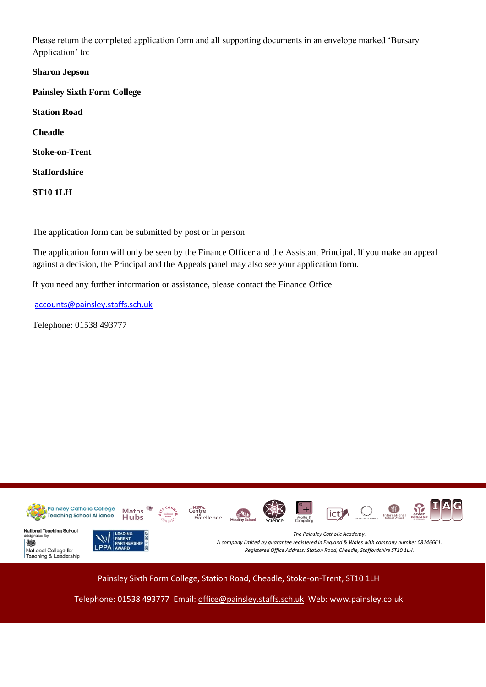Please return the completed application form and all supporting documents in an envelope marked 'Bursary Application' to:

**Sharon Jepson Painsley Sixth Form College Station Road Cheadle Stoke-on-Trent Staffordshire ST10 1LH**

The application form can be submitted by post or in person

The application form will only be seen by the Finance Officer and the Assistant Principal. If you make an appeal against a decision, the Principal and the Appeals panel may also see your application form.

If you need any further information or assistance, please contact the Finance Office

[accounts@painsley.staffs.sch.uk](mailto:accounts@painsley.staffs.sch.uk)

Telephone: 01538 493777



Painsley Sixth Form College, Station Road, Cheadle, Stoke-on-Trent, ST10 1LH

Telephone: 01538 493777 Email: [office@painsley.staffs.sch.uk](mailto:office@painsley.staffs.sch.uk) Web: www.painsley.co.uk